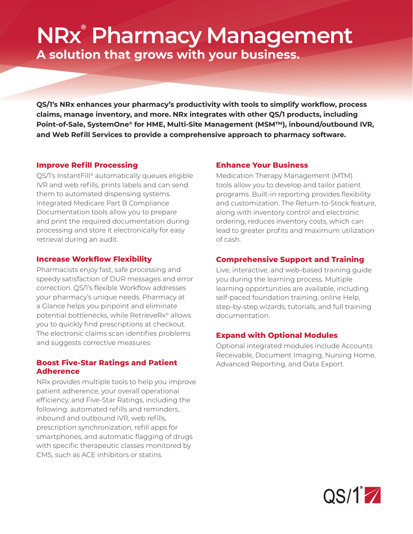# **NRx® Pharmacy Management A solution that grows with your business.**

**QS/1's NRx enhances your pharmacy's productivity with tools to simplify workflow, process claims, manage inventory, and more. NRx integrates with other QS/1 products, including Point-of-Sale, SystemOne® for HME, Multi-Site Management (MSM™), inbound/outbound IVR,**  and Web Refill Services to provide a comprehensive approach to pharmacy software.

# **Improve Refill Processing**

QS/1's InstantFill® automatically queues eligible IVR and web refills, prints labels and can send them to automated dispensing systems. Integrated Medicare Part B Compliance Documentation tools allow you to prepare and print the required documentation during processing and store it electronically for easy retrieval during an audit.

### **Increase Workflow Flexibility**

Pharmacists enjoy fast, safe processing and speedy satisfaction of DUR messages and error correction. QS/1's flexible Workflow addresses your pharmacy's unique needs. Pharmacy at a Glance helps you pinpoint and eliminate potential bottlenecks, while RetrieveRx® allows you to quickly find prescriptions at checkout. The electronic claims scan identifies problems and suggests corrective measures.

## **Boost Five-Star Ratings and Patient Adherence**

NRx provides multiple tools to help you improve patient adherence, your overall operational efficiency, and Five-Star Ratings, including the following: automated refills and reminders. inbound and outbound IVR, web refills, prescription synchronization, refill apps for smartphones, and automatic flagging of drugs with specific therapeutic classes monitored by CMS, such as ACE inhibitors or statins.

# **Enhance Your Business**

Medication Therapy Management (MTM) tools allow you to develop and tailor patient programs. Built-in reporting provides flexibility and customization. The Return-to-Stock feature, along with inventory control and electronic ordering, reduces inventory costs, which can lead to greater profits and maximum utilization of cash.

# **Comprehensive Support and Training**

Live, interactive, and web-based training guide you during the learning process. Multiple learning opportunities are available, including self-paced foundation training, online Help, step-by-step wizards, tutorials, and full training documentation.

# **Expand with Optional Modules**

Optional integrated modules include Accounts Receivable, Document Imaging, Nursing Home, Advanced Reporting, and Data Export.